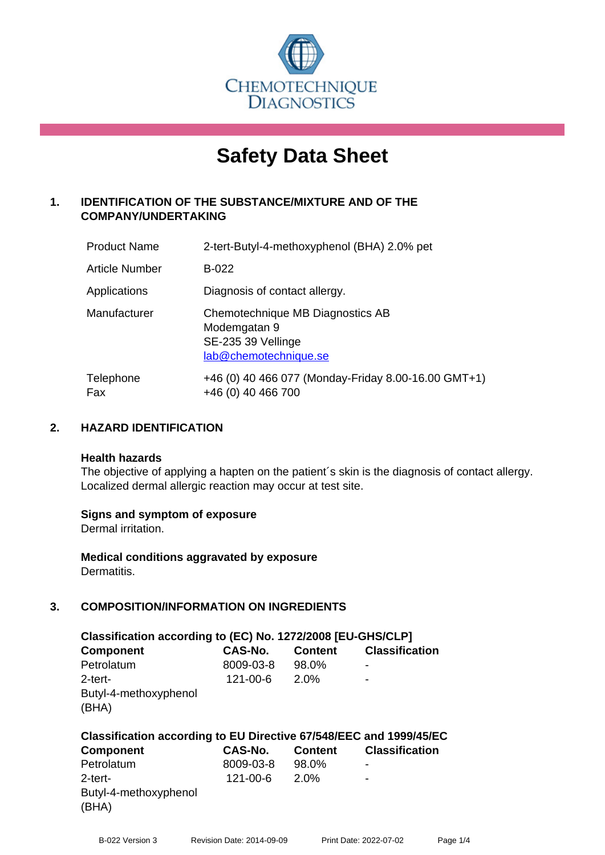

# **Safety Data Sheet**

# **1. IDENTIFICATION OF THE SUBSTANCE/MIXTURE AND OF THE COMPANY/UNDERTAKING**

| <b>Product Name</b>   | 2-tert-Butyl-4-methoxyphenol (BHA) 2.0% pet                                                     |
|-----------------------|-------------------------------------------------------------------------------------------------|
| <b>Article Number</b> | B-022                                                                                           |
| Applications          | Diagnosis of contact allergy.                                                                   |
| Manufacturer          | Chemotechnique MB Diagnostics AB<br>Modemgatan 9<br>SE-235 39 Vellinge<br>lab@chemotechnique.se |
| Telephone<br>Fax      | +46 (0) 40 466 077 (Monday-Friday 8.00-16.00 GMT+1)<br>+46 (0) 40 466 700                       |

# **2. HAZARD IDENTIFICATION**

#### **Health hazards**

The objective of applying a hapten on the patient's skin is the diagnosis of contact allergy. Localized dermal allergic reaction may occur at test site.

# **Signs and symptom of exposure**

Dermal irritation.

**Medical conditions aggravated by exposure** Dermatitis.

# **3. COMPOSITION/INFORMATION ON INGREDIENTS**

| Classification according to (EC) No. 1272/2008 [EU-GHS/CLP]        |           |                |                       |  |  |  |
|--------------------------------------------------------------------|-----------|----------------|-----------------------|--|--|--|
| <b>Component</b>                                                   | CAS-No.   | <b>Content</b> | <b>Classification</b> |  |  |  |
| Petrolatum                                                         | 8009-03-8 | 98.0%          | -                     |  |  |  |
| 2-tert-                                                            | 121-00-6  | 2.0%           | -                     |  |  |  |
| Butyl-4-methoxyphenol<br>(BHA)                                     |           |                |                       |  |  |  |
| Classification according to EU Directive 67/548/EEC and 1999/45/EC |           |                |                       |  |  |  |

| <b>Component</b>                          | CAS-No.        | <b>Content</b> | <b>Classification</b> |
|-------------------------------------------|----------------|----------------|-----------------------|
| Petrolatum                                | 8009-03-8      | 98.0%          | ٠                     |
| 2-tert-<br>Butyl-4-methoxyphenol<br>(BHA) | $121 - 00 - 6$ | 2.0%           | ۰                     |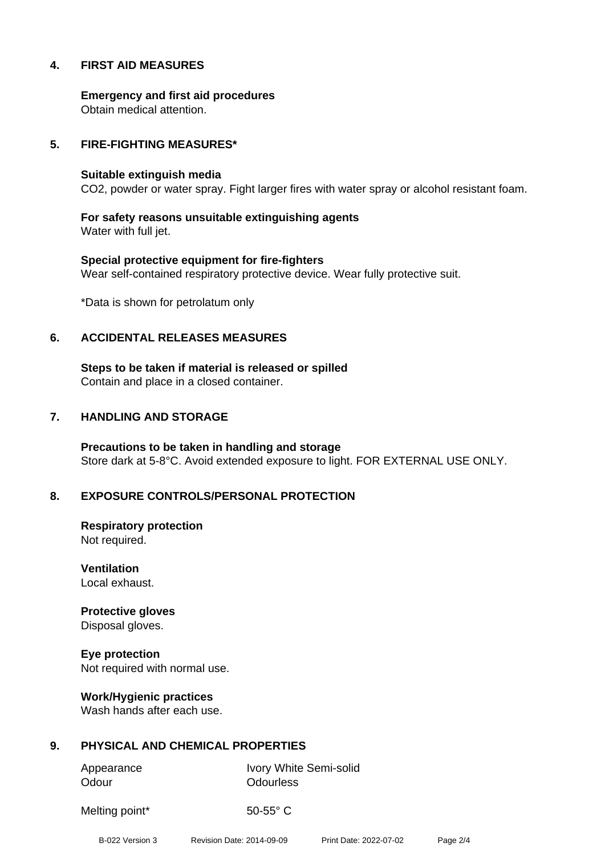# **4. FIRST AID MEASURES**

**Emergency and first aid procedures** Obtain medical attention.

## **5. FIRE-FIGHTING MEASURES\***

#### **Suitable extinguish media**

CO2, powder or water spray. Fight larger fires with water spray or alcohol resistant foam.

**For safety reasons unsuitable extinguishing agents** Water with full jet.

**Special protective equipment for fire-fighters** Wear self-contained respiratory protective device. Wear fully protective suit.

\*Data is shown for petrolatum only

#### **6. ACCIDENTAL RELEASES MEASURES**

**Steps to be taken if material is released or spilled** Contain and place in a closed container.

## **7. HANDLING AND STORAGE**

**Precautions to be taken in handling and storage** Store dark at 5-8°C. Avoid extended exposure to light. FOR EXTERNAL USE ONLY.

# **8. EXPOSURE CONTROLS/PERSONAL PROTECTION**

**Respiratory protection** Not required.

**Ventilation** Local exhaust.

**Protective gloves** Disposal gloves.

**Eye protection** Not required with normal use.

**Work/Hygienic practices** Wash hands after each use.

# **9. PHYSICAL AND CHEMICAL PROPERTIES**

Odour **Odourless** 

Appearance Ivory White Semi-solid

Melting point\* 50-55° C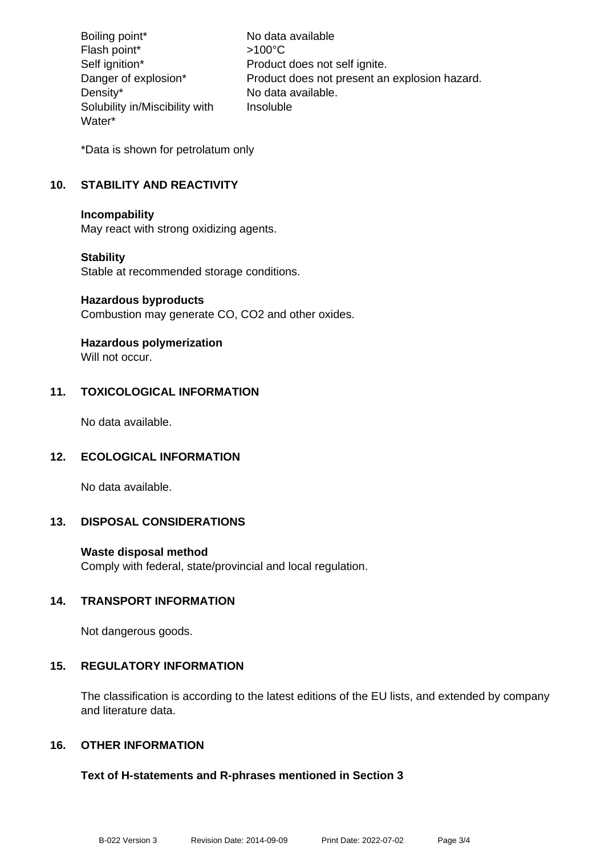Boiling point\* No data available Flash point\* >100°C Self ignition\* Product does not self ignite. Danger of explosion\* Product does not present an explosion hazard. Density\* No data available. Solubility in/Miscibility with Water\* Insoluble

\*Data is shown for petrolatum only

# **10. STABILITY AND REACTIVITY**

#### **Incompability**

May react with strong oxidizing agents.

# **Stability**

Stable at recommended storage conditions.

#### **Hazardous byproducts**

Combustion may generate CO, CO2 and other oxides.

# **Hazardous polymerization**

Will not occur.

# **11. TOXICOLOGICAL INFORMATION**

No data available.

# **12. ECOLOGICAL INFORMATION**

No data available.

# **13. DISPOSAL CONSIDERATIONS**

# **Waste disposal method**

Comply with federal, state/provincial and local regulation.

# **14. TRANSPORT INFORMATION**

Not dangerous goods.

# **15. REGULATORY INFORMATION**

The classification is according to the latest editions of the EU lists, and extended by company and literature data.

# **16. OTHER INFORMATION**

# **Text of H-statements and R-phrases mentioned in Section 3**